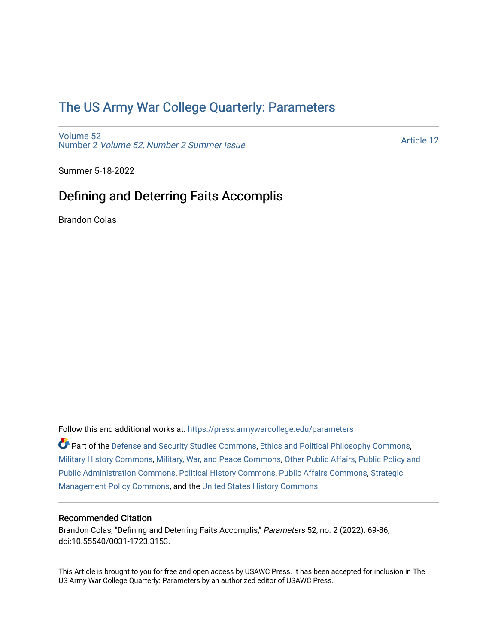# [The US Army War College Quarterly: Parameters](https://press.armywarcollege.edu/parameters)

[Volume 52](https://press.armywarcollege.edu/parameters/vol52) Number 2 [Volume 52, Number 2 Summer Issue](https://press.armywarcollege.edu/parameters/vol52/iss2)

[Article 12](https://press.armywarcollege.edu/parameters/vol52/iss2/12) 

Summer 5-18-2022

## Defining and Deterring Faits Accomplis

Brandon Colas

Follow this and additional works at: [https://press.armywarcollege.edu/parameters](https://press.armywarcollege.edu/parameters?utm_source=press.armywarcollege.edu%2Fparameters%2Fvol52%2Fiss2%2F12&utm_medium=PDF&utm_campaign=PDFCoverPages) 

Part of the [Defense and Security Studies Commons](https://network.bepress.com/hgg/discipline/394?utm_source=press.armywarcollege.edu%2Fparameters%2Fvol52%2Fiss2%2F12&utm_medium=PDF&utm_campaign=PDFCoverPages), [Ethics and Political Philosophy Commons](https://network.bepress.com/hgg/discipline/529?utm_source=press.armywarcollege.edu%2Fparameters%2Fvol52%2Fiss2%2F12&utm_medium=PDF&utm_campaign=PDFCoverPages), [Military History Commons,](https://network.bepress.com/hgg/discipline/504?utm_source=press.armywarcollege.edu%2Fparameters%2Fvol52%2Fiss2%2F12&utm_medium=PDF&utm_campaign=PDFCoverPages) [Military, War, and Peace Commons,](https://network.bepress.com/hgg/discipline/861?utm_source=press.armywarcollege.edu%2Fparameters%2Fvol52%2Fiss2%2F12&utm_medium=PDF&utm_campaign=PDFCoverPages) [Other Public Affairs, Public Policy and](https://network.bepress.com/hgg/discipline/403?utm_source=press.armywarcollege.edu%2Fparameters%2Fvol52%2Fiss2%2F12&utm_medium=PDF&utm_campaign=PDFCoverPages)  [Public Administration Commons,](https://network.bepress.com/hgg/discipline/403?utm_source=press.armywarcollege.edu%2Fparameters%2Fvol52%2Fiss2%2F12&utm_medium=PDF&utm_campaign=PDFCoverPages) [Political History Commons,](https://network.bepress.com/hgg/discipline/505?utm_source=press.armywarcollege.edu%2Fparameters%2Fvol52%2Fiss2%2F12&utm_medium=PDF&utm_campaign=PDFCoverPages) [Public Affairs Commons,](https://network.bepress.com/hgg/discipline/399?utm_source=press.armywarcollege.edu%2Fparameters%2Fvol52%2Fiss2%2F12&utm_medium=PDF&utm_campaign=PDFCoverPages) [Strategic](https://network.bepress.com/hgg/discipline/642?utm_source=press.armywarcollege.edu%2Fparameters%2Fvol52%2Fiss2%2F12&utm_medium=PDF&utm_campaign=PDFCoverPages)  [Management Policy Commons,](https://network.bepress.com/hgg/discipline/642?utm_source=press.armywarcollege.edu%2Fparameters%2Fvol52%2Fiss2%2F12&utm_medium=PDF&utm_campaign=PDFCoverPages) and the [United States History Commons](https://network.bepress.com/hgg/discipline/495?utm_source=press.armywarcollege.edu%2Fparameters%2Fvol52%2Fiss2%2F12&utm_medium=PDF&utm_campaign=PDFCoverPages)

## Recommended Citation

Brandon Colas, "Defining and Deterring Faits Accomplis," Parameters 52, no. 2 (2022): 69-86, doi:10.55540/0031-1723.3153.

This Article is brought to you for free and open access by USAWC Press. It has been accepted for inclusion in The US Army War College Quarterly: Parameters by an authorized editor of USAWC Press.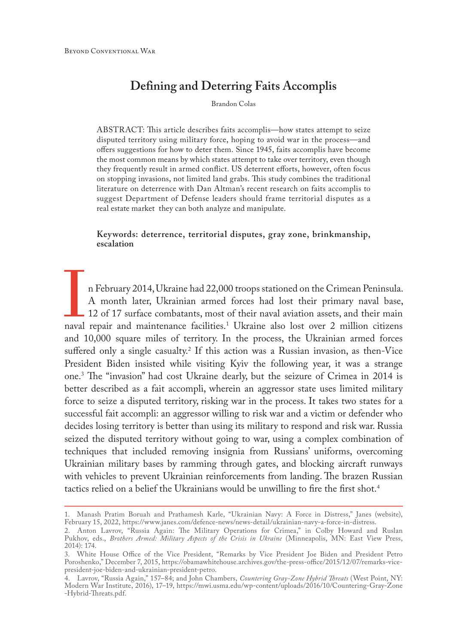## **Defining and Deterring Faits Accomplis**

Brandon Colas

ABSTRACT: This article describes faits accomplis—how states attempt to seize disputed territory using military force, hoping to avoid war in the process—and offers suggestions for how to deter them. Since 1945, faits accomplis have become the most common means by which states attempt to take over territory, even though they frequently result in armed conflict. US deterrent efforts, however, often focus on stopping invasions, not limited land grabs. This study combines the traditional literature on deterrence with Dan Altman's recent research on faits accomplis to suggest Department of Defense leaders should frame territorial disputes as a real estate market they can both analyze and manipulate.

**Keywords: deterrence, territorial disputes, gray zone, brinkmanship, escalation**

n February 2014, Ukraine had 22,000 troops stationed on the Crimean Peninsula. A month later, Ukrainian armed forces had lost their primary naval base, 12 of 17 surface combatants, most of their naval aviation assets, and their main naval repair and maintenance facilities.1 Ukraine also lost over 2 million citizens and 10,000 square miles of territory. In the process, the Ukrainian armed forces suffered only a single casualty.2 If this action was a Russian invasion, as then-Vice President Biden insisted while visiting Kyiv the following year, it was a strange one.3 The "invasion" had cost Ukraine dearly, but the seizure of Crimea in 2014 is better described as a fait accompli, wherein an aggressor state uses limited military force to seize a disputed territory, risking war in the process. It takes two states for a successful fait accompli: an aggressor willing to risk war and a victim or defender who decides losing territory is better than using its military to respond and risk war. Russia seized the disputed territory without going to war, using a complex combination of techniques that included removing insignia from Russians' uniforms, overcoming Ukrainian military bases by ramming through gates, and blocking aircraft runways with vehicles to prevent Ukrainian reinforcements from landing. The brazen Russian tactics relied on a belief the Ukrainians would be unwilling to fire the first shot.<sup>4</sup>

<sup>1.</sup> Manash Pratim Boruah and Prathamesh Karle, "Ukrainian Navy: A Force in Distress," Janes (website), February 15, 2022, [https://www.janes.com/defence-news/news-detail/ukrainian-navy-a-force-in-distress.](http://www.janes.com/defence-news/news-detail/ukrainian-navy-a-force-in-distress)

<sup>2.</sup> Anton Lavrov, "Russia Again: The Military Operations for Crimea," in Colby Howard and Ruslan Pukhov, eds., *Brothers Armed: Military Aspects of the Crisis in Ukraine* (Minneapolis, MN: East View Press, 2014): 174.

<sup>3.</sup> White House Office of the Vice President, "Remarks by Vice President Joe Biden and President Petro Poroshenko," December 7, 2015, [https://obamawhitehouse.archives.gov/the-press-office/2015/12/07/remarks-vice](https://obamawhitehouse.archives.gov/the-press-office/2015/12/07/remarks-vice-president-joe-biden-and-ukrainian-president-petro)[president-joe-biden-and-ukrainian-president-petro](https://obamawhitehouse.archives.gov/the-press-office/2015/12/07/remarks-vice-president-joe-biden-and-ukrainian-president-petro).

<sup>4.</sup> Lavrov, "Russia Again," 157–84; and John Chambers, *Countering Gray-Zone Hybrid Threats* (West Point, NY: Modern War Institute, 2016), 17–19, [https://mwi.usma.edu/wp-content/uploads/2016/10/Countering-Gray-Zone](http://mwi.usma.edu/wp-content/uploads/2016/10/Countering-Gray-Zone-Hybrid-Threats.pdf) [-Hybrid-Threats.pdf](http://mwi.usma.edu/wp-content/uploads/2016/10/Countering-Gray-Zone-Hybrid-Threats.pdf).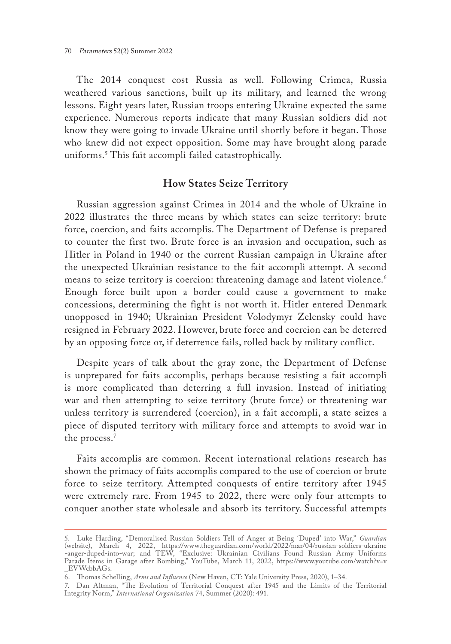The 2014 conquest cost Russia as well. Following Crimea, Russia weathered various sanctions, built up its military, and learned the wrong lessons. Eight years later, Russian troops entering Ukraine expected the same experience. Numerous reports indicate that many Russian soldiers did not know they were going to invade Ukraine until shortly before it began. Those who knew did not expect opposition. Some may have brought along parade uniforms.5 This fait accompli failed catastrophically.

## **How States Seize Territory**

Russian aggression against Crimea in 2014 and the whole of Ukraine in 2022 illustrates the three means by which states can seize territory: brute force, coercion, and faits accomplis. The Department of Defense is prepared to counter the first two. Brute force is an invasion and occupation, such as Hitler in Poland in 1940 or the current Russian campaign in Ukraine after the unexpected Ukrainian resistance to the fait accompli attempt. A second means to seize territory is coercion: threatening damage and latent violence.<sup>6</sup> Enough force built upon a border could cause a government to make concessions, determining the fight is not worth it. Hitler entered Denmark unopposed in 1940; Ukrainian President Volodymyr Zelensky could have resigned in February 2022. However, brute force and coercion can be deterred by an opposing force or, if deterrence fails, rolled back by military conflict.

Despite years of talk about the gray zone, the Department of Defense is unprepared for faits accomplis, perhaps because resisting a fait accompli is more complicated than deterring a full invasion. Instead of initiating war and then attempting to seize territory (brute force) or threatening war unless territory is surrendered (coercion), in a fait accompli, a state seizes a piece of disputed territory with military force and attempts to avoid war in the process.<sup>7</sup>

Faits accomplis are common. Recent international relations research has shown the primacy of faits accomplis compared to the use of coercion or brute force to seize territory. Attempted conquests of entire territory after 1945 were extremely rare. From 1945 to 2022, there were only four attempts to conquer another state wholesale and absorb its territory. Successful attempts

<sup>5.</sup> Luke Harding, "Demoralised Russian Soldiers Tell of Anger at Being 'Duped' into War," *Guardian* (website), March 4, 2022, [https://www.theguardian.com/world/2022/mar/04/russian-soldiers-ukraine](https://www.theguardian.com/world/2022/mar/04/russian-soldiers-ukraine -anger-duped-into-war) [-anger-duped-into-war;](https://www.theguardian.com/world/2022/mar/04/russian-soldiers-ukraine -anger-duped-into-war) and TEW, "Exclusive: Ukrainian Civilians Found Russian Army Uniforms Parade Items in Garage after Bombing," YouTube, March 11, 2022, [https://www.youtube.com/watch?v=v](https://www.youtube.com/watch?v=v _EVWcbbAGs) [\\_EVWcbbAGs.](https://www.youtube.com/watch?v=v _EVWcbbAGs) 

<sup>6.</sup> Thomas Schelling, *Arms and Influence* (New Haven, CT: Yale University Press, 2020), 1–34.

<sup>7.</sup> Dan Altman, "The Evolution of Territorial Conquest after 1945 and the Limits of the Territorial Integrity Norm," *International Organization* 74, Summer (2020): 491.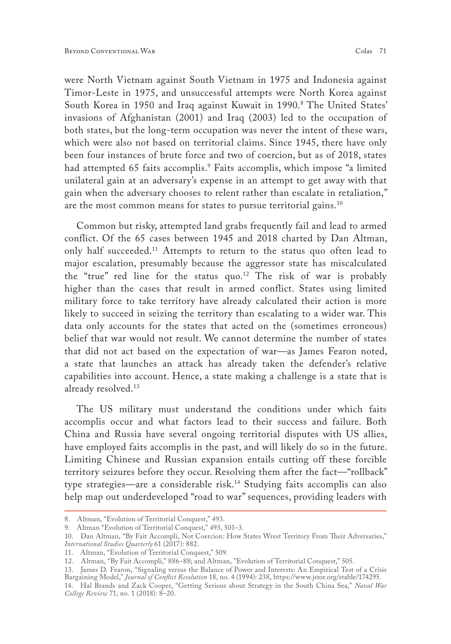were North Vietnam against South Vietnam in 1975 and Indonesia against Timor-Leste in 1975, and unsuccessful attempts were North Korea against South Korea in 1950 and Iraq against Kuwait in 1990.8 The United States' invasions of Afghanistan (2001) and Iraq (2003) led to the occupation of both states, but the long-term occupation was never the intent of these wars, which were also not based on territorial claims. Since 1945, there have only been four instances of brute force and two of coercion, but as of 2018, states had attempted 65 faits accomplis.9 Faits accomplis, which impose "a limited unilateral gain at an adversary's expense in an attempt to get away with that gain when the adversary chooses to relent rather than escalate in retaliation," are the most common means for states to pursue territorial gains.10

Common but risky, attempted land grabs frequently fail and lead to armed conflict. Of the 65 cases between 1945 and 2018 charted by Dan Altman, only half succeeded.<sup>11</sup> Attempts to return to the status quo often lead to major escalation, presumably because the aggressor state has miscalculated the "true" red line for the status quo.<sup>12</sup> The risk of war is probably higher than the cases that result in armed conflict. States using limited military force to take territory have already calculated their action is more likely to succeed in seizing the territory than escalating to a wider war. This data only accounts for the states that acted on the (sometimes erroneous) belief that war would not result. We cannot determine the number of states that did not act based on the expectation of war—as James Fearon noted, a state that launches an attack has already taken the defender's relative capabilities into account. Hence, a state making a challenge is a state that is already resolved.13

The US military must understand the conditions under which faits accomplis occur and what factors lead to their success and failure. Both China and Russia have several ongoing territorial disputes with US allies, have employed faits accomplis in the past, and will likely do so in the future. Limiting Chinese and Russian expansion entails cutting off these forcible territory seizures before they occur. Resolving them after the fact—"rollback" type strategies—are a considerable risk.14 Studying faits accomplis can also help map out underdeveloped "road to war" sequences, providing leaders with

<sup>8.</sup> Altman, "Evolution of Territorial Conquest," 493.

<sup>9.</sup> Altman "Evolution of Territorial Conquest," 493, 501–3.

<sup>10.</sup> Dan Altman, "By Fait Accompli, Not Coercion: How States Wrest Territory From Their Adversaries," *International Studies Quarterly* 61 (2017): 882.

<sup>11.</sup> Altman, "Evolution of Territorial Conquest," 509.

<sup>12.</sup> Altman, "By Fait Accompli," 886–88; and Altman, "Evolution of Territorial Conquest," 505.

<sup>13.</sup> James D. Fearon, "Signaling versus the Balance of Power and Interests: An Empirical Test of a Crisis Bargaining Model," *Journal of Conflict Resolution* 18, no. 4 (1994): 238,<https://www.jstor.org/stable/174295>. 14. Hal Brands and Zack Cooper, "Getting Serious about Strategy in the South China Sea," *Naval War* 

*College Review* 71, no. 1 (2018): 8–20.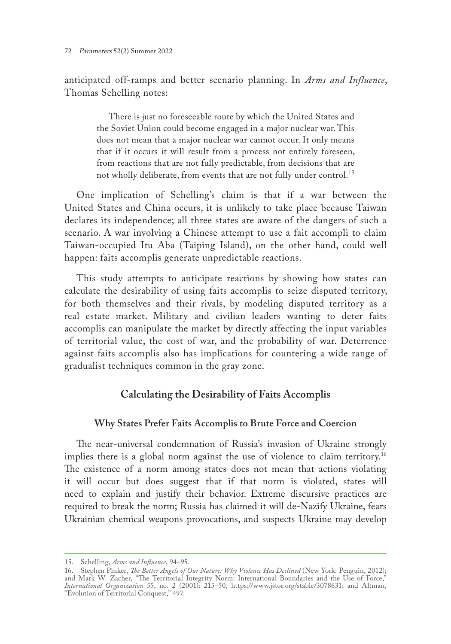anticipated off-ramps and better scenario planning. In *Arms and Influence*, Thomas Schelling notes:

There is just no foreseeable route by which the United States and the Soviet Union could become engaged in a major nuclear war. This does not mean that a major nuclear war cannot occur. It only means that if it occurs it will result from a process not entirely foreseen, from reactions that are not fully predictable, from decisions that are not wholly deliberate, from events that are not fully under control.<sup>15</sup>

One implication of Schelling's claim is that if a war between the United States and China occurs, it is unlikely to take place because Taiwan declares its independence; all three states are aware of the dangers of such a scenario. A war involving a Chinese attempt to use a fait accompli to claim Taiwan-occupied Itu Aba (Taiping Island), on the other hand, could well happen: faits accomplis generate unpredictable reactions.

This study attempts to anticipate reactions by showing how states can calculate the desirability of using faits accomplis to seize disputed territory, for both themselves and their rivals, by modeling disputed territory as a real estate market. Military and civilian leaders wanting to deter faits accomplis can manipulate the market by directly affecting the input variables of territorial value, the cost of war, and the probability of war. Deterrence against faits accomplis also has implications for countering a wide range of gradualist techniques common in the gray zone.

## **Calculating the Desirability of Faits Accomplis**

## **Why States Prefer Faits Accomplis to Brute Force and Coercion**

The near-universal condemnation of Russia's invasion of Ukraine strongly implies there is a global norm against the use of violence to claim territory.<sup>16</sup> The existence of a norm among states does not mean that actions violating it will occur but does suggest that if that norm is violated, states will need to explain and justify their behavior. Extreme discursive practices are required to break the norm; Russia has claimed it will de-Nazify Ukraine, fears Ukrainian chemical weapons provocations, and suspects Ukraine may develop

<sup>15.</sup> Schelling, *Arms and Influence*, 94–95.

<sup>16.</sup> Stephen Pinker, *The Better Angels of Our Nature: Why Violence Has Declined* (New York: Penguin, 2012); and Mark W. Zacher, "The Territorial Integrity Norm: International Boundaries and the Use of Force," *International Organization* 55, no. 2 (2001): 215–50, <https://www.jstor.org/stable/3078631>; and Altman, "Evolution of Territorial Conquest," 497.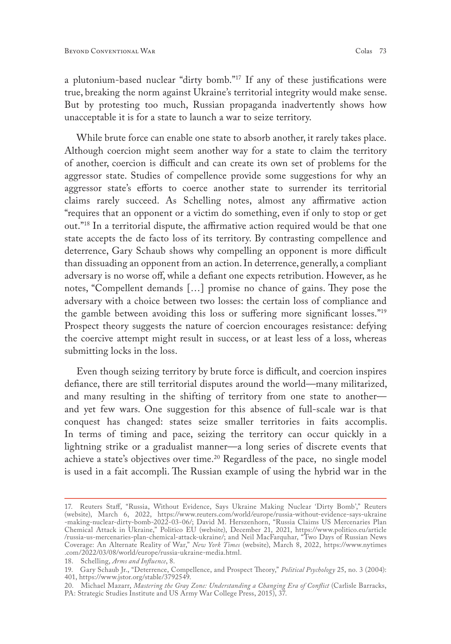a plutonium-based nuclear "dirty bomb."17 If any of these justifications were true, breaking the norm against Ukraine's territorial integrity would make sense. But by protesting too much, Russian propaganda inadvertently shows how unacceptable it is for a state to launch a war to seize territory.

While brute force can enable one state to absorb another, it rarely takes place. Although coercion might seem another way for a state to claim the territory of another, coercion is difficult and can create its own set of problems for the aggressor state. Studies of compellence provide some suggestions for why an aggressor state's efforts to coerce another state to surrender its territorial claims rarely succeed. As Schelling notes, almost any affirmative action "requires that an opponent or a victim do something, even if only to stop or get out."18 In a territorial dispute, the affirmative action required would be that one state accepts the de facto loss of its territory. By contrasting compellence and deterrence, Gary Schaub shows why compelling an opponent is more difficult than dissuading an opponent from an action. In deterrence, generally, a compliant adversary is no worse off, while a defiant one expects retribution. However, as he notes, "Compellent demands […] promise no chance of gains. They pose the adversary with a choice between two losses: the certain loss of compliance and the gamble between avoiding this loss or suffering more significant losses."19 Prospect theory suggests the nature of coercion encourages resistance: defying the coercive attempt might result in success, or at least less of a loss, whereas submitting locks in the loss.

Even though seizing territory by brute force is difficult, and coercion inspires defiance, there are still territorial disputes around the world—many militarized, and many resulting in the shifting of territory from one state to another and yet few wars. One suggestion for this absence of full-scale war is that conquest has changed: states seize smaller territories in faits accomplis. In terms of timing and pace, seizing the territory can occur quickly in a lightning strike or a gradualist manner—a long series of discrete events that achieve a state's objectives over time.<sup>20</sup> Regardless of the pace, no single model is used in a fait accompli. The Russian example of using the hybrid war in the

<sup>17.</sup> Reuters Staff, "Russia, Without Evidence, Says Ukraine Making Nuclear 'Dirty Bomb'," Reuters (website), March 6, 2022, [https://www.reuters.com/world/europe/russia-without-evidence-says-ukraine](https://www.reuters.com/world/europe/russia-without-evidence-says-ukraine-making-nuclear-dirty-bomb-2022-03-06/) [-making-nuclear-dirty-bomb-2022-03-06/](https://www.reuters.com/world/europe/russia-without-evidence-says-ukraine-making-nuclear-dirty-bomb-2022-03-06/); David M. Herszenhorn, "Russia Claims US Mercenaries Plan Chemical Attack in Ukraine," Politico EU (website), December 21, 2021, [https://www.politico.eu/article](https://www.politico.eu/article /russia-us-mercenaries-plan-chemical-attack-ukraine/) [/russia-us-mercenaries-plan-chemical-attack-ukraine/](https://www.politico.eu/article /russia-us-mercenaries-plan-chemical-attack-ukraine/); and Neil MacFarquhar, "Two Days of Russian News Coverage: An Alternate Reality of War," *New York Times* (website), March 8, 2022, [https://www.nytimes](https://www.nytimes.com/2022/03/08/world/europe/russia-ukraine-media.html) [.com/2022/03/08/world/europe/russia-ukraine-media.html](https://www.nytimes.com/2022/03/08/world/europe/russia-ukraine-media.html).

<sup>18.</sup> Schelling, *Arms and Influence*, 8.

<sup>19.</sup> Gary Schaub Jr., "Deterrence, Compellence, and Prospect Theory," *Political Psychology* 25, no. 3 (2004): 401, [https://www.jstor.org/stable/3792549.](https://www.jstor.org/stable/3792549)

<sup>20.</sup> Michael Mazarr, *Mastering the Gray Zone: Understanding a Changing Era of Conflict* (Carlisle Barracks, PA: Strategic Studies Institute and US Army War College Press, 2015), 37.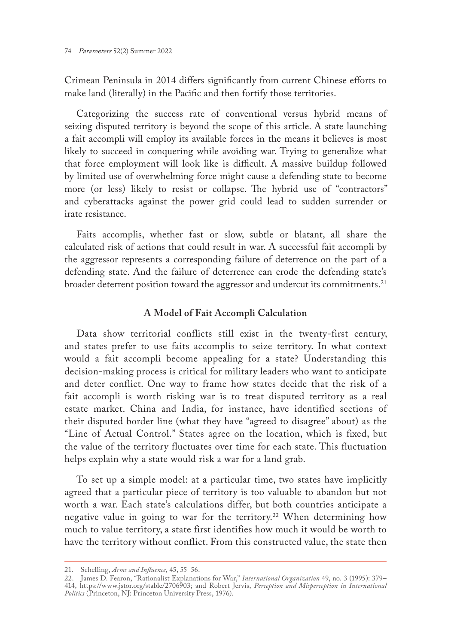Crimean Peninsula in 2014 differs significantly from current Chinese efforts to make land (literally) in the Pacific and then fortify those territories.

Categorizing the success rate of conventional versus hybrid means of seizing disputed territory is beyond the scope of this article. A state launching a fait accompli will employ its available forces in the means it believes is most likely to succeed in conquering while avoiding war. Trying to generalize what that force employment will look like is difficult. A massive buildup followed by limited use of overwhelming force might cause a defending state to become more (or less) likely to resist or collapse. The hybrid use of "contractors" and cyberattacks against the power grid could lead to sudden surrender or irate resistance.

Faits accomplis, whether fast or slow, subtle or blatant, all share the calculated risk of actions that could result in war. A successful fait accompli by the aggressor represents a corresponding failure of deterrence on the part of a defending state. And the failure of deterrence can erode the defending state's broader deterrent position toward the aggressor and undercut its commitments.<sup>21</sup>

## **A Model of Fait Accompli Calculation**

Data show territorial conflicts still exist in the twenty-first century, and states prefer to use faits accomplis to seize territory. In what context would a fait accompli become appealing for a state? Understanding this decision-making process is critical for military leaders who want to anticipate and deter conflict. One way to frame how states decide that the risk of a fait accompli is worth risking war is to treat disputed territory as a real estate market. China and India, for instance, have identified sections of their disputed border line (what they have "agreed to disagree" about) as the "Line of Actual Control." States agree on the location, which is fixed, but the value of the territory fluctuates over time for each state. This fluctuation helps explain why a state would risk a war for a land grab.

To set up a simple model: at a particular time, two states have implicitly agreed that a particular piece of territory is too valuable to abandon but not worth a war. Each state's calculations differ, but both countries anticipate a negative value in going to war for the territory.<sup>22</sup> When determining how much to value territory, a state first identifies how much it would be worth to have the territory without conflict. From this constructed value, the state then

<sup>21.</sup> Schelling, *Arms and Influence*, 45, 55–56.

<sup>22.</sup> James D. Fearon, "Rationalist Explanations for War," *International Organization* 49, no. 3 (1995): 379– 414, [https://www.jstor.org/stable/2706903;](https://www.jstor.org/stable/2706903) and Robert Jervis, *Perception and Misperception in International Politics* (Princeton, NJ: Princeton University Press, 1976).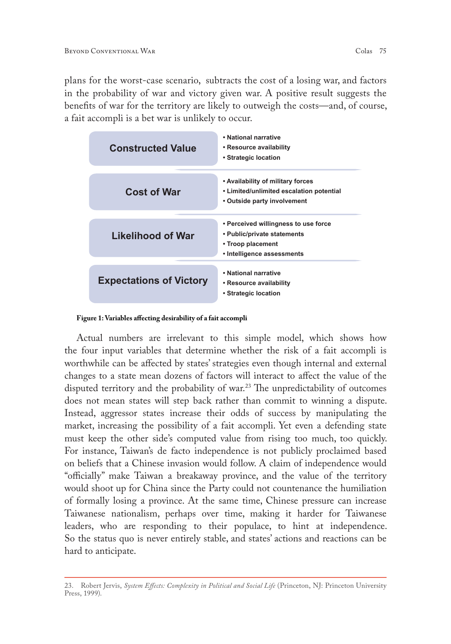plans for the worst-case scenario, subtracts the cost of a losing war, and factors in the probability of war and victory given war. A positive result suggests the benefits of war for the territory are likely to outweigh the costs—and, of course, a fait accompli is a bet war is unlikely to occur.

| <b>Constructed Value</b>       | • National narrative<br>• Resource availability<br>• Strategic location                                                |
|--------------------------------|------------------------------------------------------------------------------------------------------------------------|
| <b>Cost of War</b>             | • Availability of military forces<br>• Limited/unlimited escalation potential<br>• Outside party involvement           |
| Likelihood of War              | • Perceived willingness to use force<br>• Public/private statements<br>• Troop placement<br>• Intelligence assessments |
| <b>Expectations of Victory</b> | . National narrative<br>• Resource availability<br>• Strategic location                                                |

**Figure 1: Variables affecting desirability of a fait accompli**

Actual numbers are irrelevant to this simple model, which shows how the four input variables that determine whether the risk of a fait accompli is worthwhile can be affected by states' strategies even though internal and external changes to a state mean dozens of factors will interact to affect the value of the disputed territory and the probability of war.<sup>23</sup> The unpredictability of outcomes does not mean states will step back rather than commit to winning a dispute. Instead, aggressor states increase their odds of success by manipulating the market, increasing the possibility of a fait accompli. Yet even a defending state must keep the other side's computed value from rising too much, too quickly. For instance, Taiwan's de facto independence is not publicly proclaimed based on beliefs that a Chinese invasion would follow. A claim of independence would "officially" make Taiwan a breakaway province, and the value of the territory would shoot up for China since the Party could not countenance the humiliation of formally losing a province. At the same time, Chinese pressure can increase Taiwanese nationalism, perhaps over time, making it harder for Taiwanese leaders, who are responding to their populace, to hint at independence. So the status quo is never entirely stable, and states' actions and reactions can be hard to anticipate.

<sup>23.</sup> Robert Jervis, *System Effects: Complexity in Political and Social Life* (Princeton, NJ: Princeton University Press, 1999).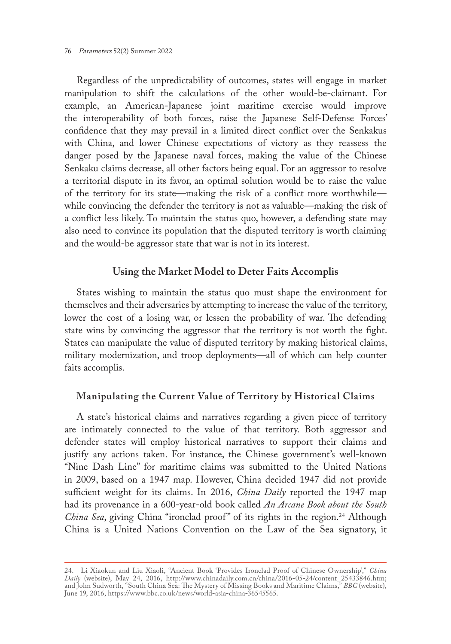76 Parameters 52(2) Summer 2022

Regardless of the unpredictability of outcomes, states will engage in market manipulation to shift the calculations of the other would-be-claimant. For example, an American-Japanese joint maritime exercise would improve the interoperability of both forces, raise the Japanese Self-Defense Forces' confidence that they may prevail in a limited direct conflict over the Senkakus with China, and lower Chinese expectations of victory as they reassess the danger posed by the Japanese naval forces, making the value of the Chinese Senkaku claims decrease, all other factors being equal. For an aggressor to resolve a territorial dispute in its favor, an optimal solution would be to raise the value of the territory for its state—making the risk of a conflict more worthwhile while convincing the defender the territory is not as valuable—making the risk of a conflict less likely. To maintain the status quo, however, a defending state may also need to convince its population that the disputed territory is worth claiming and the would-be aggressor state that war is not in its interest.

## **Using the Market Model to Deter Faits Accomplis**

States wishing to maintain the status quo must shape the environment for themselves and their adversaries by attempting to increase the value of the territory, lower the cost of a losing war, or lessen the probability of war. The defending state wins by convincing the aggressor that the territory is not worth the fight. States can manipulate the value of disputed territory by making historical claims, military modernization, and troop deployments—all of which can help counter faits accomplis.

## **Manipulating the Current Value of Territory by Historical Claims**

A state's historical claims and narratives regarding a given piece of territory are intimately connected to the value of that territory. Both aggressor and defender states will employ historical narratives to support their claims and justify any actions taken. For instance, the Chinese government's well-known "Nine Dash Line" for maritime claims was submitted to the United Nations in 2009, based on a 1947 map. However, China decided 1947 did not provide sufficient weight for its claims. In 2016, *China Daily* reported the 1947 map had its provenance in a 600-year-old book called *An Arcane Book about the South China Sea*, giving China "ironclad proof" of its rights in the region.<sup>24</sup> Although China is a United Nations Convention on the Law of the Sea signatory, it

<sup>24.</sup> Li Xiaokun and Liu Xiaoli, "Ancient Book 'Provides Ironclad Proof of Chinese Ownership'," *China Daily* (website), May 24, 2016, [http://www.chinadaily.com.cn/china/2016-05-24/content\\_25433846.htm;](http://www.chinadaily.com.cn/china/2016-05-24/content_25433846.htm) and John Sudworth, "South China Sea: The Mystery of Missing Books and Maritime Claims," *BBC* (website), June 19, 2016, [https://www.bbc.co.uk/news/world-asia-china-36545565.](https://www.bbc.co.uk/news/world-asia-china-36545565)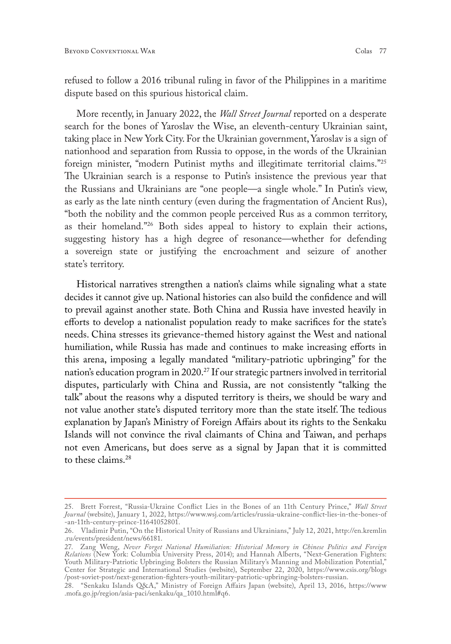refused to follow a 2016 tribunal ruling in favor of the Philippines in a maritime dispute based on this spurious historical claim.

More recently, in January 2022, the *Wall Street Journal* reported on a desperate search for the bones of Yaroslav the Wise, an eleventh-century Ukrainian saint, taking place in New York City. For the Ukrainian government, Yaroslav is a sign of nationhood and separation from Russia to oppose, in the words of the Ukrainian foreign minister, "modern Putinist myths and illegitimate territorial claims."25 The Ukrainian search is a response to Putin's insistence the previous year that the Russians and Ukrainians are "one people—a single whole." In Putin's view, as early as the late ninth century (even during the fragmentation of Ancient Rus), "both the nobility and the common people perceived Rus as a common territory, as their homeland."26 Both sides appeal to history to explain their actions, suggesting history has a high degree of resonance—whether for defending a sovereign state or justifying the encroachment and seizure of another state's territory.

Historical narratives strengthen a nation's claims while signaling what a state decides it cannot give up. National histories can also build the confidence and will to prevail against another state. Both China and Russia have invested heavily in efforts to develop a nationalist population ready to make sacrifices for the state's needs. China stresses its grievance-themed history against the West and national humiliation, while Russia has made and continues to make increasing efforts in this arena, imposing a legally mandated "military-patriotic upbringing" for the nation's education program in 2020.<sup>27</sup> If our strategic partners involved in territorial disputes, particularly with China and Russia, are not consistently "talking the talk" about the reasons why a disputed territory is theirs, we should be wary and not value another state's disputed territory more than the state itself. The tedious explanation by Japan's Ministry of Foreign Affairs about its rights to the Senkaku Islands will not convince the rival claimants of China and Taiwan, and perhaps not even Americans, but does serve as a signal by Japan that it is committed to these claims.28

<sup>25.</sup> Brett Forrest, "Russia-Ukraine Conflict Lies in the Bones of an 11th Century Prince," *Wall Street Journal* (website), January 1, 2022, [https://www.wsj.com/articles/russia-ukraine-conflict-lies-in-the-bones-of](https://www.wsj.com/articles/russia-ukraine-conflict-lies-in-the-bones-of-an-11th-century-prince-11641052801) [-an-11th-century-prince-11641052801](https://www.wsj.com/articles/russia-ukraine-conflict-lies-in-the-bones-of-an-11th-century-prince-11641052801).

<sup>26.</sup> Vladimir Putin, "On the Historical Unity of Russians and Ukrainians," July 12, 2021, http://en.kremlin .ru/events/president/news/66181.

<sup>27.</sup> Zang Weng, *Never Forget National Humiliation: Historical Memory in Chinese Politics and Foreign Relations* (New York: Columbia University Press, 2014); and Hannah Alberts, "Next-Generation Fighters: Youth Military-Patriotic Upbringing Bolsters the Russian Military's Manning and Mobilization Potential," Center for Strategic and International Studies (website), September 22, 2020, [https://www.csis.org/blogs](https://www.csis.org/blogs/post-soviet-post/next-generation-fighters-youth-military-patriotic-upbringing-bolsters-russian) [/post-soviet-post/next-generation-fighters-youth-military-patriotic-upbringing-bolsters-russian](https://www.csis.org/blogs/post-soviet-post/next-generation-fighters-youth-military-patriotic-upbringing-bolsters-russian).

<sup>28.</sup> "Senkaku Islands Q&A," Ministry of Foreign Affairs Japan (website), April 13, 2016, [https://www](https://www.mofa.go.jp/region/asia-paci/senkaku/qa_1010.html#q6) [.mofa.go.jp/region/asia-paci/senkaku/qa\\_1010.html#q6](https://www.mofa.go.jp/region/asia-paci/senkaku/qa_1010.html#q6).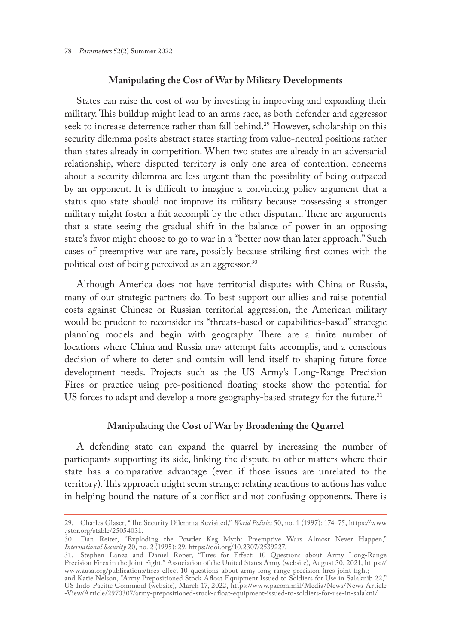#### **Manipulating the Cost of War by Military Developments**

States can raise the cost of war by investing in improving and expanding their military. This buildup might lead to an arms race, as both defender and aggressor seek to increase deterrence rather than fall behind.<sup>29</sup> However, scholarship on this security dilemma posits abstract states starting from value-neutral positions rather than states already in competition. When two states are already in an adversarial relationship, where disputed territory is only one area of contention, concerns about a security dilemma are less urgent than the possibility of being outpaced by an opponent. It is difficult to imagine a convincing policy argument that a status quo state should not improve its military because possessing a stronger military might foster a fait accompli by the other disputant. There are arguments that a state seeing the gradual shift in the balance of power in an opposing state's favor might choose to go to war in a "better now than later approach." Such cases of preemptive war are rare, possibly because striking first comes with the political cost of being perceived as an aggressor.30

Although America does not have territorial disputes with China or Russia, many of our strategic partners do. To best support our allies and raise potential costs against Chinese or Russian territorial aggression, the American military would be prudent to reconsider its "threats-based or capabilities-based" strategic planning models and begin with geography. There are a finite number of locations where China and Russia may attempt faits accomplis, and a conscious decision of where to deter and contain will lend itself to shaping future force development needs. Projects such as the US Army's Long-Range Precision Fires or practice using pre-positioned floating stocks show the potential for US forces to adapt and develop a more geography-based strategy for the future.<sup>31</sup>

#### **Manipulating the Cost of War by Broadening the Quarrel**

A defending state can expand the quarrel by increasing the number of participants supporting its side, linking the dispute to other matters where their state has a comparative advantage (even if those issues are unrelated to the territory). This approach might seem strange: relating reactions to actions has value in helping bound the nature of a conflict and not confusing opponents. There is

<sup>29.</sup> Charles Glaser, "The Security Dilemma Revisited," *World Politics* 50, no. 1 (1997): 174–75, [https://www](https://www.jstor.org/stable/25054031) [.jstor.org/stable/25054031](https://www.jstor.org/stable/25054031).

<sup>30.</sup> Dan Reiter, "Exploding the Powder Keg Myth: Preemptive Wars Almost Never Happen," *International Security* 20, no. 2 (1995): 29, <https://doi.org/10.2307/2539227>.

<sup>31.</sup> Stephen Lanza and Daniel Roper, "Fires for Effect: 10 Questions about Army Long-Range Precision Fires in the Joint Fight," Association of the United States Army (website), August 30, 2021, [https://](https://www.ausa.org/publications/fires-effect-10-questions-about-army-long-range-precision-fires-joint-fight) [www.ausa.org/publications/fires-effect-10-questions-about-army-long-range-precision-fires-joint-fight;](https://www.ausa.org/publications/fires-effect-10-questions-about-army-long-range-precision-fires-joint-fight)

and Katie Nelson, "Army Prepositioned Stock Afloat Equipment Issued to Soldiers for Use in Salaknib 22," US Indo-Pacific Command (website), March 17, 2022, [https://www.pacom.mil/Media/News/News-Article](https://www.pacom.mil/Media/News/News-Article -View/Article/2970307/army-prepositioned-stock-afloat-equipment-issued-to-soldiers-for-use-in-salakni/) [-View/Article/2970307/army-prepositioned-stock-afloat-equipment-issued-to-soldiers-for-use-in-salakni/](https://www.pacom.mil/Media/News/News-Article -View/Article/2970307/army-prepositioned-stock-afloat-equipment-issued-to-soldiers-for-use-in-salakni/).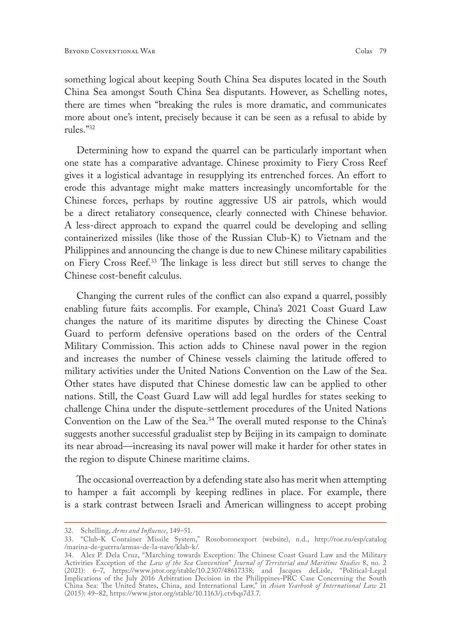something logical about keeping South China Sea disputes located in the South China Sea amongst South China Sea disputants. However, as Schelling notes, there are times when "breaking the rules is more dramatic, and communicates more about one's intent, precisely because it can be seen as a refusal to abide by rules."32

Determining how to expand the quarrel can be particularly important when one state has a comparative advantage. Chinese proximity to Fiery Cross Reef gives it a logistical advantage in resupplying its entrenched forces. An effort to erode this advantage might make matters increasingly uncomfortable for the Chinese forces, perhaps by routine aggressive US air patrols, which would be a direct retaliatory consequence, clearly connected with Chinese behavior. A less-direct approach to expand the quarrel could be developing and selling containerized missiles (like those of the Russian Club-K) to Vietnam and the Philippines and announcing the change is due to new Chinese military capabilities on Fiery Cross Reef.33 The linkage is less direct but still serves to change the Chinese cost-benefit calculus.

Changing the current rules of the conflict can also expand a quarrel, possibly enabling future faits accomplis. For example, China's 2021 Coast Guard Law changes the nature of its maritime disputes by directing the Chinese Coast Guard to perform defensive operations based on the orders of the Central Military Commission. This action adds to Chinese naval power in the region and increases the number of Chinese vessels claiming the latitude offered to military activities under the United Nations Convention on the Law of the Sea. Other states have disputed that Chinese domestic law can be applied to other nations. Still, the Coast Guard Law will add legal hurdles for states seeking to challenge China under the dispute-settlement procedures of the United Nations Convention on the Law of the Sea.<sup>34</sup> The overall muted response to the China's suggests another successful gradualist step by Beijing in its campaign to dominate its near abroad—increasing its naval power will make it harder for other states in the region to dispute Chinese maritime claims.

The occasional overreaction by a defending state also has merit when attempting to hamper a fait accompli by keeping redlines in place. For example, there is a stark contrast between Israeli and American willingness to accept probing

<sup>32.</sup> Schelling, *Arms and Influence*, 149–51.

<sup>33.</sup> "Club-K Container Missile System," Rosoboronexport (website), n.d., [http://roe.ru/esp/catalog](http://roe.ru/esp/catalog/marina-de-guerra/armas-de-la-nave/klab-k/) [/marina-de-guerra/armas-de-la-nave/klab-k/.](http://roe.ru/esp/catalog/marina-de-guerra/armas-de-la-nave/klab-k/)

<sup>34.</sup> Alex P. Dela Cruz, "Marching towards Exception: The Chinese Coast Guard Law and the Military Activities Exception of the *Law of the Sea Convention*" *Journal of Territorial and Maritime Studies* 8, no. 2 (2021): 6–7, [https://www.jstor.org/stable/10.2307/48617338;](https://www.jstor.org/stable/10.2307/48617338) and Jacques deLisle, "Political-Legal Implications of the July 2016 Arbitration Decision in the Philippines-PRC Case Concerning the South China Sea: The United States, China, and International Law," in *Asian Yearbook of International Law* 21 (2015): 49–82, <https://www.jstor.org/stable/10.1163/j.ctvbqs7d3.7>.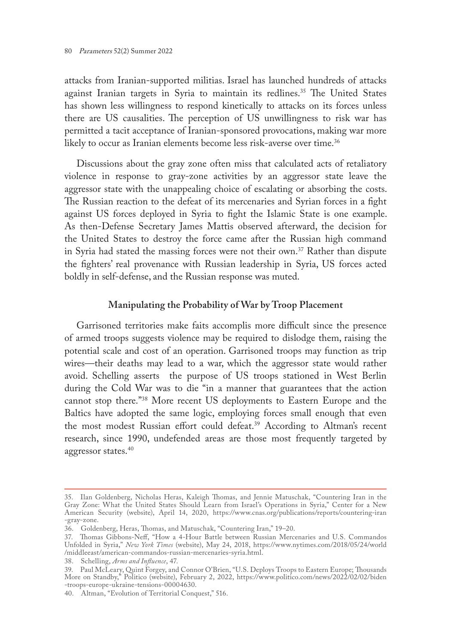attacks from Iranian-supported militias. Israel has launched hundreds of attacks against Iranian targets in Syria to maintain its redlines.<sup>35</sup> The United States has shown less willingness to respond kinetically to attacks on its forces unless there are US causalities. The perception of US unwillingness to risk war has permitted a tacit acceptance of Iranian-sponsored provocations, making war more likely to occur as Iranian elements become less risk-averse over time.<sup>36</sup>

Discussions about the gray zone often miss that calculated acts of retaliatory violence in response to gray-zone activities by an aggressor state leave the aggressor state with the unappealing choice of escalating or absorbing the costs. The Russian reaction to the defeat of its mercenaries and Syrian forces in a fight against US forces deployed in Syria to fight the Islamic State is one example. As then-Defense Secretary James Mattis observed afterward, the decision for the United States to destroy the force came after the Russian high command in Syria had stated the massing forces were not their own.<sup>37</sup> Rather than dispute the fighters' real provenance with Russian leadership in Syria, US forces acted boldly in self-defense, and the Russian response was muted.

### **Manipulating the Probability of War by Troop Placement**

Garrisoned territories make faits accomplis more difficult since the presence of armed troops suggests violence may be required to dislodge them, raising the potential scale and cost of an operation. Garrisoned troops may function as trip wires—their deaths may lead to a war, which the aggressor state would rather avoid. Schelling asserts the purpose of US troops stationed in West Berlin during the Cold War was to die "in a manner that guarantees that the action cannot stop there."38 More recent US deployments to Eastern Europe and the Baltics have adopted the same logic, employing forces small enough that even the most modest Russian effort could defeat.<sup>39</sup> According to Altman's recent research, since 1990, undefended areas are those most frequently targeted by aggressor states.<sup>40</sup>

<sup>35.</sup> Ilan Goldenberg, Nicholas Heras, Kaleigh Thomas, and Jennie Matuschak, "Countering Iran in the Gray Zone: What the United States Should Learn from Israel's Operations in Syria," Center for a New American Security (website), April 14, 2020, [https://www.cnas.org/publications/reports/countering-iran](https://www.cnas.org/publications/reports/countering-iran-gray-zone) [-gray-zone](https://www.cnas.org/publications/reports/countering-iran-gray-zone).

<sup>36.</sup> Goldenberg, Heras, Thomas, and Matuschak, "Countering Iran," 19–20.

<sup>37.</sup> Thomas Gibbons-Neff, "How a 4-Hour Battle between Russian Mercenaries and U.S. Commandos Unfolded in Syria," *New York Times* (website), May 24, 2018, [https://www.nytimes.com/2018/05/24/world](https://www.nytimes.com/2018/05/24/world/middleeast/american-commandos-russian-mercenaries-syria.html) [/middleeast/american-commandos-russian-mercenaries-syria.html](https://www.nytimes.com/2018/05/24/world/middleeast/american-commandos-russian-mercenaries-syria.html).

<sup>38.</sup> Schelling, *Arms and Influence*, 47.

<sup>39.</sup> Paul McLeary, Quint Forgey, and Connor O'Brien, "U.S. Deploys Troops to Eastern Europe; Thousands More on Standby," Politico (website), February 2, 2022, [https://www.politico.com/news/2022/02/02/biden](https://www.politico.com/news/2022/02/02/biden-troops-europe-ukraine-tensions-00004630) [-troops-europe-ukraine-tensions-00004630.](https://www.politico.com/news/2022/02/02/biden-troops-europe-ukraine-tensions-00004630)

<sup>40.</sup> Altman, "Evolution of Territorial Conquest," 516.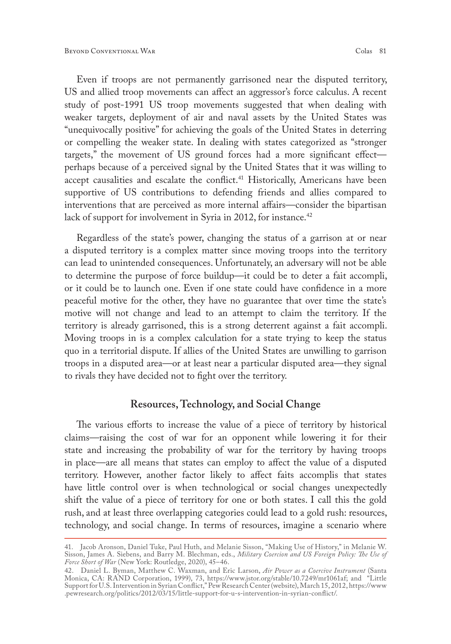Even if troops are not permanently garrisoned near the disputed territory, US and allied troop movements can affect an aggressor's force calculus. A recent study of post-1991 US troop movements suggested that when dealing with weaker targets, deployment of air and naval assets by the United States was "unequivocally positive" for achieving the goals of the United States in deterring or compelling the weaker state. In dealing with states categorized as "stronger targets," the movement of US ground forces had a more significant effect perhaps because of a perceived signal by the United States that it was willing to accept causalities and escalate the conflict.<sup>41</sup> Historically, Americans have been supportive of US contributions to defending friends and allies compared to interventions that are perceived as more internal affairs—consider the bipartisan lack of support for involvement in Syria in 2012, for instance.<sup>42</sup>

Regardless of the state's power, changing the status of a garrison at or near a disputed territory is a complex matter since moving troops into the territory can lead to unintended consequences. Unfortunately, an adversary will not be able to determine the purpose of force buildup—it could be to deter a fait accompli, or it could be to launch one. Even if one state could have confidence in a more peaceful motive for the other, they have no guarantee that over time the state's motive will not change and lead to an attempt to claim the territory. If the territory is already garrisoned, this is a strong deterrent against a fait accompli. Moving troops in is a complex calculation for a state trying to keep the status quo in a territorial dispute. If allies of the United States are unwilling to garrison troops in a disputed area—or at least near a particular disputed area—they signal to rivals they have decided not to fight over the territory.

#### **Resources, Technology, and Social Change**

The various efforts to increase the value of a piece of territory by historical claims—raising the cost of war for an opponent while lowering it for their state and increasing the probability of war for the territory by having troops in place—are all means that states can employ to affect the value of a disputed territory. However, another factor likely to affect faits accomplis that states have little control over is when technological or social changes unexpectedly shift the value of a piece of territory for one or both states. I call this the gold rush, and at least three overlapping categories could lead to a gold rush: resources, technology, and social change. In terms of resources, imagine a scenario where

<sup>41.</sup> Jacob Aronson, Daniel Tuke, Paul Huth, and Melanie Sisson, "Making Use of History," in Melanie W. Sisson, James A. Siebens, and Barry M. Blechman, eds., *Military Coercion and US Foreign Policy: The Use of Force Short of War* (New York: Routledge, 2020), 45–46.

<sup>42.</sup> Daniel L. Byman, Matthew C. Waxman, and Eric Larson, *Air Power as a Coercive Instrument* (Santa Monica, CA: RAND Corporation, 1999), 73, [https://www.jstor.org/stable/10.7249/mr1061af;](https://www.jstor.org/stable/10.7249/mr1061af) and "Little Support for U.S. Intervention in Syrian Conflict," Pew Research Center (website), March 15, 2012, [https://www](https://www.pewresearch.org/politics/2012/03/15/little-support-for-u-s-intervention-in-syrian-conflict/) [.pewresearch.org/politics/2012/03/15/little-support-for-u-s-intervention-in-syrian-conflict/](https://www.pewresearch.org/politics/2012/03/15/little-support-for-u-s-intervention-in-syrian-conflict/).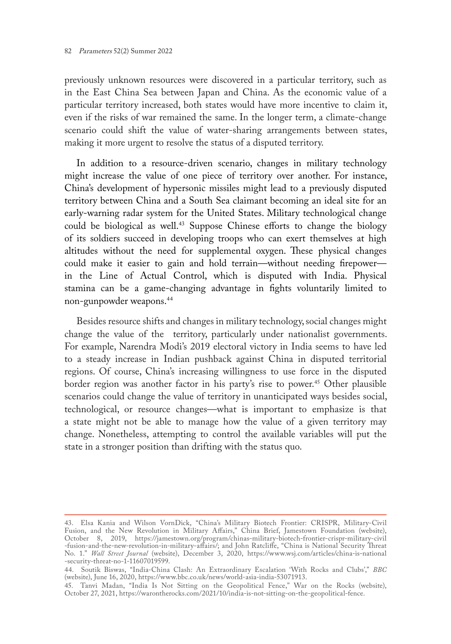previously unknown resources were discovered in a particular territory, such as in the East China Sea between Japan and China. As the economic value of a particular territory increased, both states would have more incentive to claim it, even if the risks of war remained the same. In the longer term, a climate-change scenario could shift the value of water-sharing arrangements between states, making it more urgent to resolve the status of a disputed territory.

In addition to a resource-driven scenario, changes in military technology might increase the value of one piece of territory over another. For instance, China's development of hypersonic missiles might lead to a previously disputed territory between China and a South Sea claimant becoming an ideal site for an early-warning radar system for the United States. Military technological change could be biological as well.43 Suppose Chinese efforts to change the biology of its soldiers succeed in developing troops who can exert themselves at high altitudes without the need for supplemental oxygen. These physical changes could make it easier to gain and hold terrain—without needing firepower in the Line of Actual Control, which is disputed with India. Physical stamina can be a game-changing advantage in fights voluntarily limited to non-gunpowder weapons.44

Besides resource shifts and changes in military technology, social changes might change the value of the territory, particularly under nationalist governments. For example, Narendra Modi's 2019 electoral victory in India seems to have led to a steady increase in Indian pushback against China in disputed territorial regions. Of course, China's increasing willingness to use force in the disputed border region was another factor in his party's rise to power.<sup>45</sup> Other plausible scenarios could change the value of territory in unanticipated ways besides social, technological, or resource changes—what is important to emphasize is that a state might not be able to manage how the value of a given territory may change. Nonetheless, attempting to control the available variables will put the state in a stronger position than drifting with the status quo.

<sup>43.</sup> Elsa Kania and Wilson VornDick, "China's Military Biotech Frontier: CRISPR, Military-Civil Fusion, and the New Revolution in Military Affairs," China Brief, Jamestown Foundation (website), October 8, 2019, [https://jamestown.org/program/chinas-military-biotech-frontier-crispr-military-civil](https://jamestown.org/program/chinas-military-biotech-frontier-crispr-military-civil-fusion-and-the-new-revolution-in-military-affairs/) [-fusion-and-the-new-revolution-in-military-affairs/](https://jamestown.org/program/chinas-military-biotech-frontier-crispr-military-civil-fusion-and-the-new-revolution-in-military-affairs/); and John Ratcliffe, "China is National Security Threat No. 1." *Wall Street Journal* (website), December 3, 2020, [https://www.wsj.com/articles/china-is-national](https://www.wsj.com/articles/china-is-national-security-threat-no-1-11607019599) [-security-threat-no-1-11607019599.](https://www.wsj.com/articles/china-is-national-security-threat-no-1-11607019599)

<sup>44.</sup> Soutik Biswas, "India-China Clash: An Extraordinary Escalation 'With Rocks and Clubs'," *BBC* (website), June 16, 2020, <https://www.bbc.co.uk/news/world-asia-india-53071913>.

<sup>45.</sup> Tanvi Madan, "India Is Not Sitting on the Geopolitical Fence," War on the Rocks (website), October 27, 2021, [https://warontherocks.com/2021/10/india-is-not-sitting-on-the-geopolitical-fence.](https://warontherocks.com/2021/10/india-is-not-sitting-on-the-geopolitical-fence)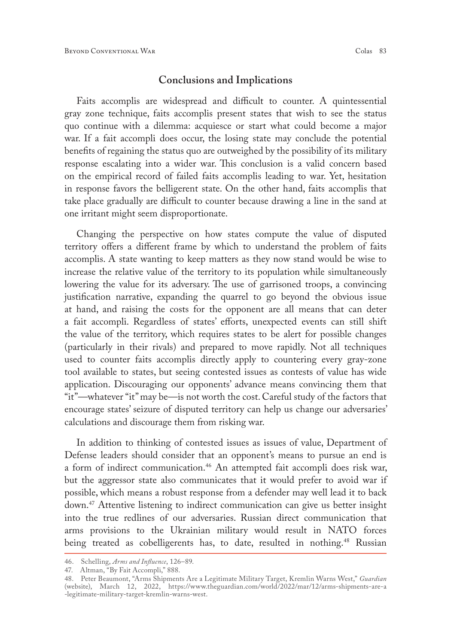### **Conclusions and Implications**

Faits accomplis are widespread and difficult to counter. A quintessential gray zone technique, faits accomplis present states that wish to see the status quo continue with a dilemma: acquiesce or start what could become a major war. If a fait accompli does occur, the losing state may conclude the potential benefits of regaining the status quo are outweighed by the possibility of its military response escalating into a wider war. This conclusion is a valid concern based on the empirical record of failed faits accomplis leading to war. Yet, hesitation in response favors the belligerent state. On the other hand, faits accomplis that take place gradually are difficult to counter because drawing a line in the sand at one irritant might seem disproportionate.

Changing the perspective on how states compute the value of disputed territory offers a different frame by which to understand the problem of faits accomplis. A state wanting to keep matters as they now stand would be wise to increase the relative value of the territory to its population while simultaneously lowering the value for its adversary. The use of garrisoned troops, a convincing justification narrative, expanding the quarrel to go beyond the obvious issue at hand, and raising the costs for the opponent are all means that can deter a fait accompli. Regardless of states' efforts, unexpected events can still shift the value of the territory, which requires states to be alert for possible changes (particularly in their rivals) and prepared to move rapidly. Not all techniques used to counter faits accomplis directly apply to countering every gray-zone tool available to states, but seeing contested issues as contests of value has wide application. Discouraging our opponents' advance means convincing them that "it"—whatever "it" may be—is not worth the cost. Careful study of the factors that encourage states' seizure of disputed territory can help us change our adversaries' calculations and discourage them from risking war.

In addition to thinking of contested issues as issues of value, Department of Defense leaders should consider that an opponent's means to pursue an end is a form of indirect communication.<sup>46</sup> An attempted fait accompli does risk war, but the aggressor state also communicates that it would prefer to avoid war if possible, which means a robust response from a defender may well lead it to back down.47 Attentive listening to indirect communication can give us better insight into the true redlines of our adversaries. Russian direct communication that arms provisions to the Ukrainian military would result in NATO forces being treated as cobelligerents has, to date, resulted in nothing.<sup>48</sup> Russian

<sup>46.</sup> Schelling, *Arms and Influence*, 126–89.

<sup>47.</sup> Altman, "By Fait Accompli," 888.

<sup>48.</sup> Peter Beaumont, "Arms Shipments Are a Legitimate Military Target, Kremlin Warns West," *Guardian*  (website), March 12, 2022, [https://www.theguardian.com/world/2022/mar/12/arms-shipments-are-a](https://www.theguardian.com/world/2022/mar/12/arms-shipments-are-a-legitimate-military-target-kremlin-warns-west) [-legitimate-military-target-kremlin-warns-west](https://www.theguardian.com/world/2022/mar/12/arms-shipments-are-a-legitimate-military-target-kremlin-warns-west).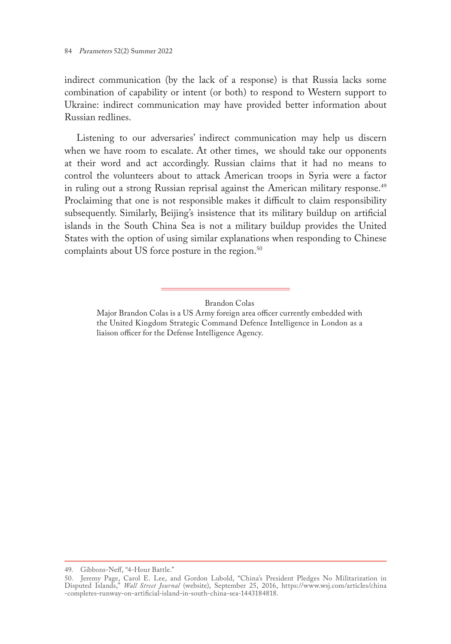indirect communication (by the lack of a response) is that Russia lacks some combination of capability or intent (or both) to respond to Western support to Ukraine: indirect communication may have provided better information about Russian redlines.

Listening to our adversaries' indirect communication may help us discern when we have room to escalate. At other times, we should take our opponents at their word and act accordingly. Russian claims that it had no means to control the volunteers about to attack American troops in Syria were a factor in ruling out a strong Russian reprisal against the American military response.<sup>49</sup> Proclaiming that one is not responsible makes it difficult to claim responsibility subsequently. Similarly, Beijing's insistence that its military buildup on artificial islands in the South China Sea is not a military buildup provides the United States with the option of using similar explanations when responding to Chinese complaints about US force posture in the region.<sup>50</sup>

Brandon Colas

Major Brandon Colas is a US Army foreign area officer currently embedded with the United Kingdom Strategic Command Defence Intelligence in London as a liaison officer for the Defense Intelligence Agency.

<sup>49.</sup> Gibbons-Neff, "4-Hour Battle."

<sup>50.</sup> Jeremy Page, Carol E. Lee, and Gordon Lubold, "China's President Pledges No Militarization in Disputed Islands," *Wall Street Journal* (website), September 25, 2016, [https://www.wsj.com/articles/china](https://www.wsj.com/articles/china-completes-runway-on-artificial-island-in-south-china-sea-1443184818) [-completes-runway-on-artificial-island-in-south-china-sea-1443184818](https://www.wsj.com/articles/china-completes-runway-on-artificial-island-in-south-china-sea-1443184818).